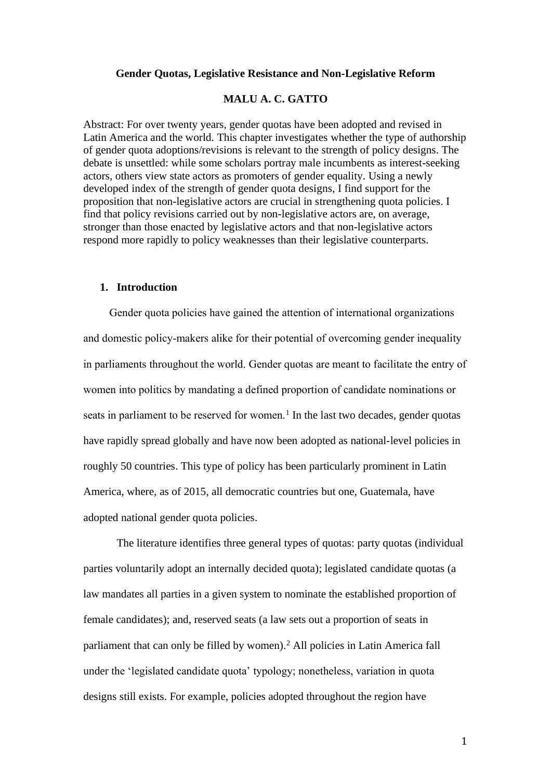### **Gender Quotas, Legislative Resistance and Non-Legislative Reform**

## **MALU A. C. GATTO**

Abstract: For over twenty years, gender quotas have been adopted and revised in Latin America and the world. This chapter investigates whether the type of authorship of gender quota adoptions/revisions is relevant to the strength of policy designs. The debate is unsettled: while some scholars portray male incumbents as interest-seeking actors, others view state actors as promoters of gender equality. Using a newly developed index of the strength of gender quota designs, I find support for the proposition that non-legislative actors are crucial in strengthening quota policies. I find that policy revisions carried out by non-legislative actors are, on average, stronger than those enacted by legislative actors and that non-legislative actors respond more rapidly to policy weaknesses than their legislative counterparts.

#### **1. Introduction**

Gender quota policies have gained the attention of international organizations and domestic policy-makers alike for their potential of overcoming gender inequality in parliaments throughout the world. Gender quotas are meant to facilitate the entry of women into politics by mandating a defined proportion of candidate nominations or seats in parliament to be reserved for women.<sup>1</sup> In the last two decades, gender quotas have rapidly spread globally and have now been adopted as national-level policies in roughly 50 countries. This type of policy has been particularly prominent in Latin America, where, as of 2015, all democratic countries but one, Guatemala, have adopted national gender quota policies.

The literature identifies three general types of quotas: party quotas (individual parties voluntarily adopt an internally decided quota); legislated candidate quotas (a law mandates all parties in a given system to nominate the established proportion of female candidates); and, reserved seats (a law sets out a proportion of seats in parliament that can only be filled by women).<sup>2</sup> All policies in Latin America fall under the 'legislated candidate quota' typology; nonetheless, variation in quota designs still exists. For example, policies adopted throughout the region have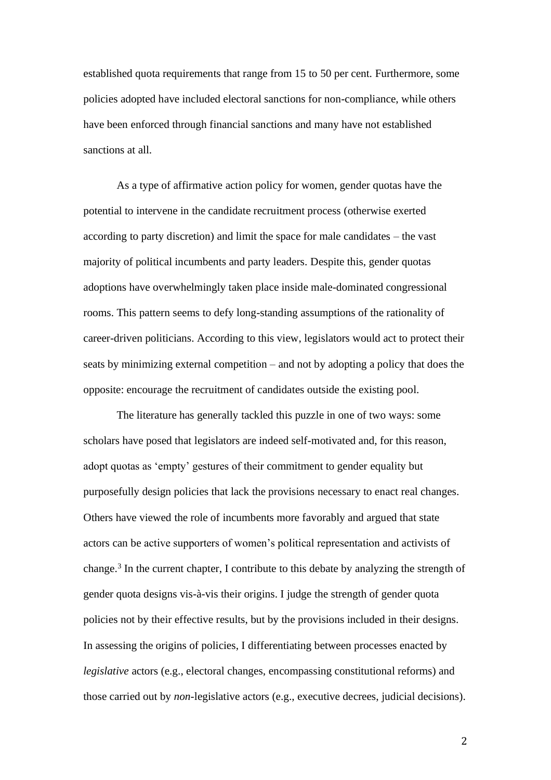established quota requirements that range from 15 to 50 per cent. Furthermore, some policies adopted have included electoral sanctions for non-compliance, while others have been enforced through financial sanctions and many have not established sanctions at all.

As a type of affirmative action policy for women, gender quotas have the potential to intervene in the candidate recruitment process (otherwise exerted according to party discretion) and limit the space for male candidates – the vast majority of political incumbents and party leaders. Despite this, gender quotas adoptions have overwhelmingly taken place inside male-dominated congressional rooms. This pattern seems to defy long-standing assumptions of the rationality of career-driven politicians. According to this view, legislators would act to protect their seats by minimizing external competition – and not by adopting a policy that does the opposite: encourage the recruitment of candidates outside the existing pool.

The literature has generally tackled this puzzle in one of two ways: some scholars have posed that legislators are indeed self-motivated and, for this reason, adopt quotas as 'empty' gestures of their commitment to gender equality but purposefully design policies that lack the provisions necessary to enact real changes. Others have viewed the role of incumbents more favorably and argued that state actors can be active supporters of women's political representation and activists of change. 3 In the current chapter, I contribute to this debate by analyzing the strength of gender quota designs vis-à-vis their origins. I judge the strength of gender quota policies not by their effective results, but by the provisions included in their designs. In assessing the origins of policies, I differentiating between processes enacted by *legislative* actors (e.g., electoral changes, encompassing constitutional reforms) and those carried out by *non*-legislative actors (e.g., executive decrees, judicial decisions).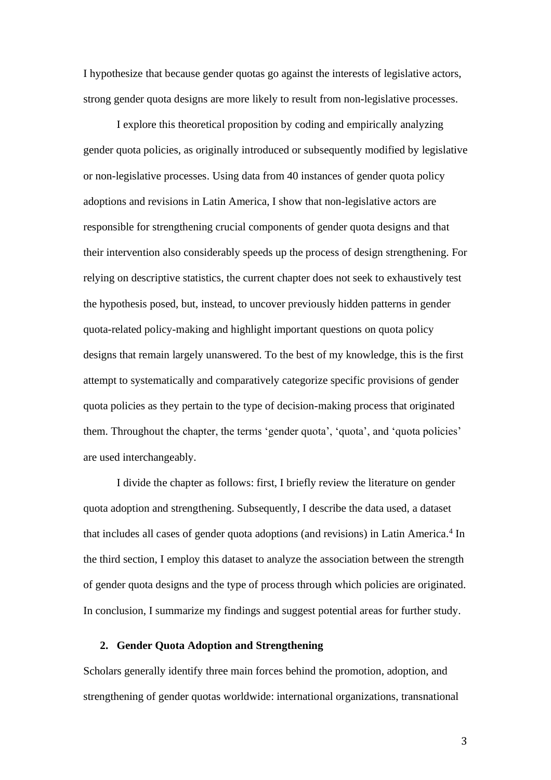I hypothesize that because gender quotas go against the interests of legislative actors, strong gender quota designs are more likely to result from non-legislative processes.

I explore this theoretical proposition by coding and empirically analyzing gender quota policies, as originally introduced or subsequently modified by legislative or non-legislative processes. Using data from 40 instances of gender quota policy adoptions and revisions in Latin America, I show that non-legislative actors are responsible for strengthening crucial components of gender quota designs and that their intervention also considerably speeds up the process of design strengthening. For relying on descriptive statistics, the current chapter does not seek to exhaustively test the hypothesis posed, but, instead, to uncover previously hidden patterns in gender quota-related policy-making and highlight important questions on quota policy designs that remain largely unanswered. To the best of my knowledge, this is the first attempt to systematically and comparatively categorize specific provisions of gender quota policies as they pertain to the type of decision-making process that originated them. Throughout the chapter, the terms 'gender quota', 'quota', and 'quota policies' are used interchangeably.

I divide the chapter as follows: first, I briefly review the literature on gender quota adoption and strengthening. Subsequently, I describe the data used, a dataset that includes all cases of gender quota adoptions (and revisions) in Latin America. 4 In the third section, I employ this dataset to analyze the association between the strength of gender quota designs and the type of process through which policies are originated. In conclusion, I summarize my findings and suggest potential areas for further study.

# **2. Gender Quota Adoption and Strengthening**

Scholars generally identify three main forces behind the promotion, adoption, and strengthening of gender quotas worldwide: international organizations, transnational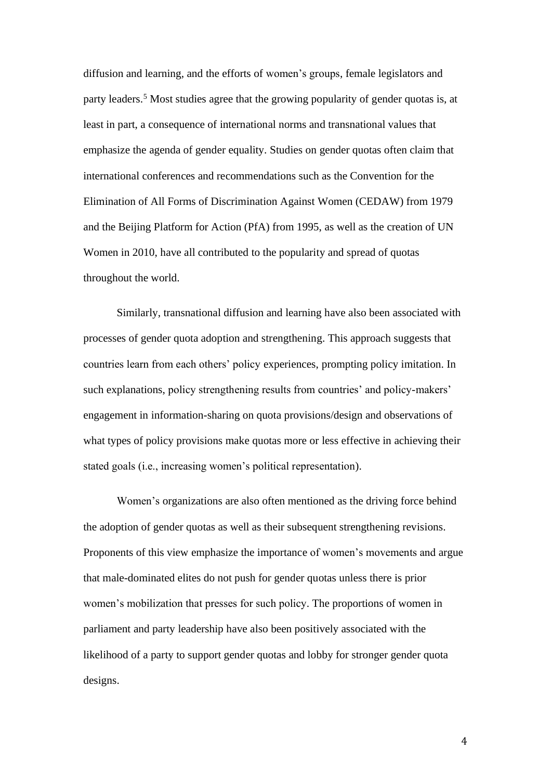diffusion and learning, and the efforts of women's groups, female legislators and party leaders.<sup>5</sup> Most studies agree that the growing popularity of gender quotas is, at least in part, a consequence of international norms and transnational values that emphasize the agenda of gender equality. Studies on gender quotas often claim that international conferences and recommendations such as the Convention for the Elimination of All Forms of Discrimination Against Women (CEDAW) from 1979 and the Beijing Platform for Action (PfA) from 1995, as well as the creation of UN Women in 2010, have all contributed to the popularity and spread of quotas throughout the world.

Similarly, transnational diffusion and learning have also been associated with processes of gender quota adoption and strengthening. This approach suggests that countries learn from each others' policy experiences, prompting policy imitation. In such explanations, policy strengthening results from countries' and policy-makers' engagement in information-sharing on quota provisions/design and observations of what types of policy provisions make quotas more or less effective in achieving their stated goals (i.e., increasing women's political representation).

Women's organizations are also often mentioned as the driving force behind the adoption of gender quotas as well as their subsequent strengthening revisions. Proponents of this view emphasize the importance of women's movements and argue that male-dominated elites do not push for gender quotas unless there is prior women's mobilization that presses for such policy. The proportions of women in parliament and party leadership have also been positively associated with the likelihood of a party to support gender quotas and lobby for stronger gender quota designs.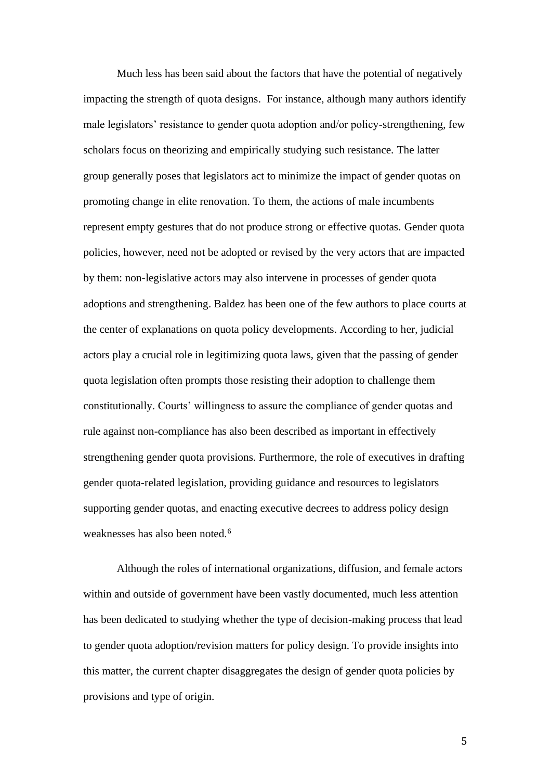Much less has been said about the factors that have the potential of negatively impacting the strength of quota designs. For instance, although many authors identify male legislators' resistance to gender quota adoption and/or policy-strengthening, few scholars focus on theorizing and empirically studying such resistance. The latter group generally poses that legislators act to minimize the impact of gender quotas on promoting change in elite renovation. To them, the actions of male incumbents represent empty gestures that do not produce strong or effective quotas. Gender quota policies, however, need not be adopted or revised by the very actors that are impacted by them: non-legislative actors may also intervene in processes of gender quota adoptions and strengthening. Baldez has been one of the few authors to place courts at the center of explanations on quota policy developments. According to her, judicial actors play a crucial role in legitimizing quota laws, given that the passing of gender quota legislation often prompts those resisting their adoption to challenge them constitutionally. Courts' willingness to assure the compliance of gender quotas and rule against non-compliance has also been described as important in effectively strengthening gender quota provisions. Furthermore, the role of executives in drafting gender quota-related legislation, providing guidance and resources to legislators supporting gender quotas, and enacting executive decrees to address policy design weaknesses has also been noted.<sup>6</sup>

Although the roles of international organizations, diffusion, and female actors within and outside of government have been vastly documented, much less attention has been dedicated to studying whether the type of decision-making process that lead to gender quota adoption/revision matters for policy design. To provide insights into this matter, the current chapter disaggregates the design of gender quota policies by provisions and type of origin.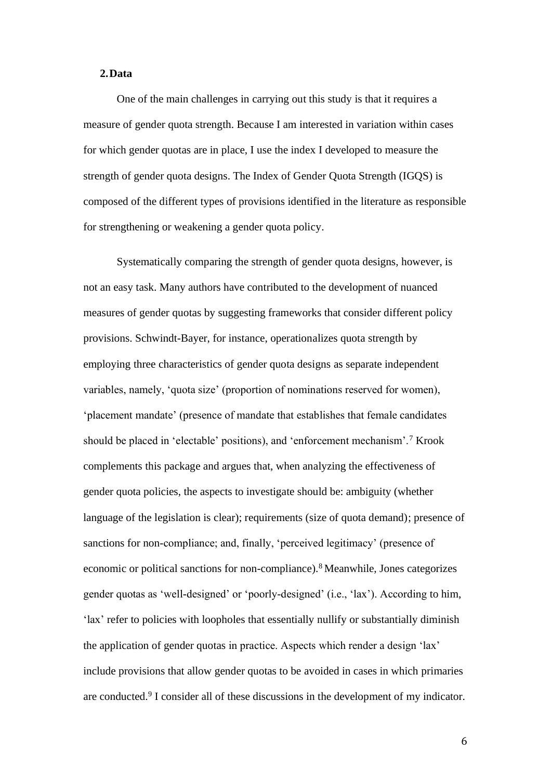## **2.Data**

One of the main challenges in carrying out this study is that it requires a measure of gender quota strength. Because I am interested in variation within cases for which gender quotas are in place, I use the index I developed to measure the strength of gender quota designs. The Index of Gender Quota Strength (IGQS) is composed of the different types of provisions identified in the literature as responsible for strengthening or weakening a gender quota policy.

Systematically comparing the strength of gender quota designs, however, is not an easy task. Many authors have contributed to the development of nuanced measures of gender quotas by suggesting frameworks that consider different policy provisions. Schwindt-Bayer, for instance, operationalizes quota strength by employing three characteristics of gender quota designs as separate independent variables, namely, 'quota size' (proportion of nominations reserved for women), 'placement mandate' (presence of mandate that establishes that female candidates should be placed in 'electable' positions), and 'enforcement mechanism'.<sup>7</sup> Krook complements this package and argues that, when analyzing the effectiveness of gender quota policies, the aspects to investigate should be: ambiguity (whether language of the legislation is clear); requirements (size of quota demand); presence of sanctions for non-compliance; and, finally, 'perceived legitimacy' (presence of economic or political sanctions for non-compliance).<sup>8</sup> Meanwhile, Jones categorizes gender quotas as 'well-designed' or 'poorly-designed' (i.e., 'lax'). According to him, 'lax' refer to policies with loopholes that essentially nullify or substantially diminish the application of gender quotas in practice. Aspects which render a design 'lax' include provisions that allow gender quotas to be avoided in cases in which primaries are conducted.<sup>9</sup> I consider all of these discussions in the development of my indicator.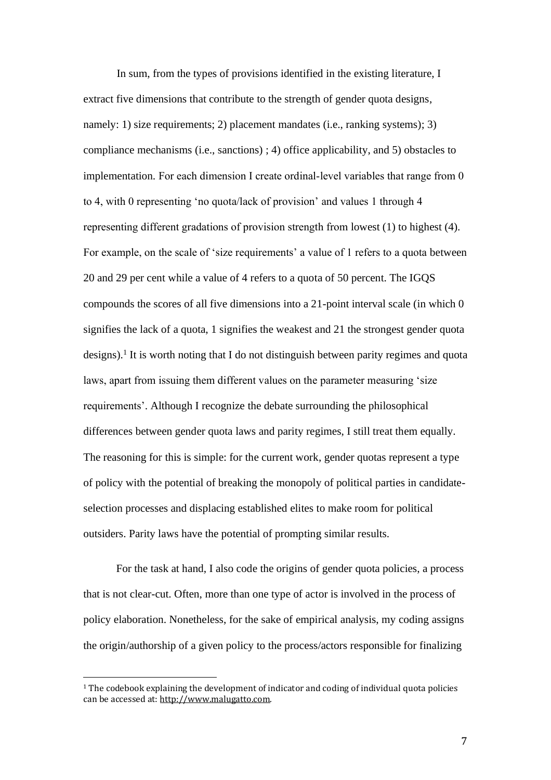In sum, from the types of provisions identified in the existing literature, I extract five dimensions that contribute to the strength of gender quota designs, namely: 1) size requirements; 2) placement mandates (i.e., ranking systems); 3) compliance mechanisms (i.e., sanctions) ; 4) office applicability, and 5) obstacles to implementation. For each dimension I create ordinal-level variables that range from 0 to 4, with 0 representing 'no quota/lack of provision' and values 1 through 4 representing different gradations of provision strength from lowest (1) to highest (4). For example, on the scale of 'size requirements' a value of 1 refers to a quota between 20 and 29 per cent while a value of 4 refers to a quota of 50 percent. The IGQS compounds the scores of all five dimensions into a 21-point interval scale (in which 0 signifies the lack of a quota, 1 signifies the weakest and 21 the strongest gender quota designs).<sup>1</sup> It is worth noting that I do not distinguish between parity regimes and quota laws, apart from issuing them different values on the parameter measuring 'size requirements'. Although I recognize the debate surrounding the philosophical differences between gender quota laws and parity regimes, I still treat them equally. The reasoning for this is simple: for the current work, gender quotas represent a type of policy with the potential of breaking the monopoly of political parties in candidateselection processes and displacing established elites to make room for political outsiders. Parity laws have the potential of prompting similar results.

For the task at hand, I also code the origins of gender quota policies, a process that is not clear-cut. Often, more than one type of actor is involved in the process of policy elaboration. Nonetheless, for the sake of empirical analysis, my coding assigns the origin/authorship of a given policy to the process/actors responsible for finalizing

<sup>1</sup> The codebook explaining the development of indicator and coding of individual quota policies can be accessed at[: http://www.malugatto.com.](http://www.malugatto.com/)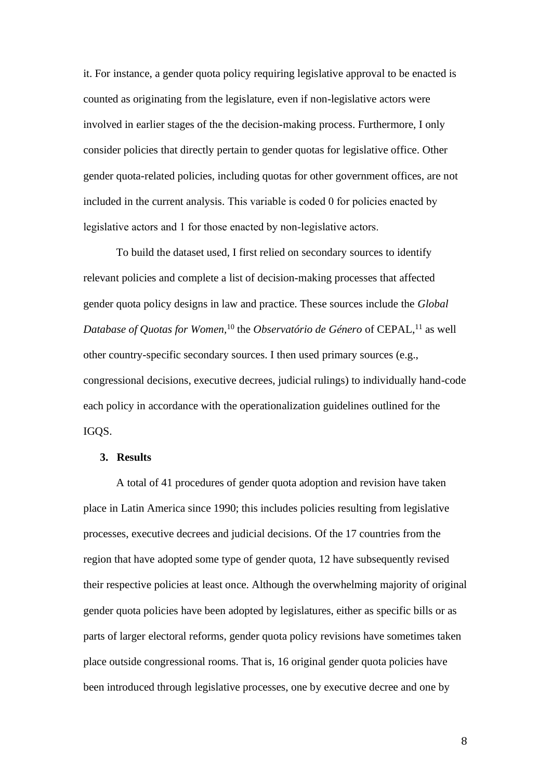it. For instance, a gender quota policy requiring legislative approval to be enacted is counted as originating from the legislature, even if non-legislative actors were involved in earlier stages of the the decision-making process. Furthermore, I only consider policies that directly pertain to gender quotas for legislative office. Other gender quota-related policies, including quotas for other government offices, are not included in the current analysis. This variable is coded 0 for policies enacted by legislative actors and 1 for those enacted by non-legislative actors.

To build the dataset used, I first relied on secondary sources to identify relevant policies and complete a list of decision-making processes that affected gender quota policy designs in law and practice. These sources include the *Global Database of Quotas for Women,*<sup>10</sup> the *Observatório de Género* of CEPAL,<sup>11</sup> as well other country-specific secondary sources. I then used primary sources (e.g., congressional decisions, executive decrees, judicial rulings) to individually hand-code each policy in accordance with the operationalization guidelines outlined for the IGOS.

### **3. Results**

A total of 41 procedures of gender quota adoption and revision have taken place in Latin America since 1990; this includes policies resulting from legislative processes, executive decrees and judicial decisions. Of the 17 countries from the region that have adopted some type of gender quota, 12 have subsequently revised their respective policies at least once. Although the overwhelming majority of original gender quota policies have been adopted by legislatures, either as specific bills or as parts of larger electoral reforms, gender quota policy revisions have sometimes taken place outside congressional rooms. That is, 16 original gender quota policies have been introduced through legislative processes, one by executive decree and one by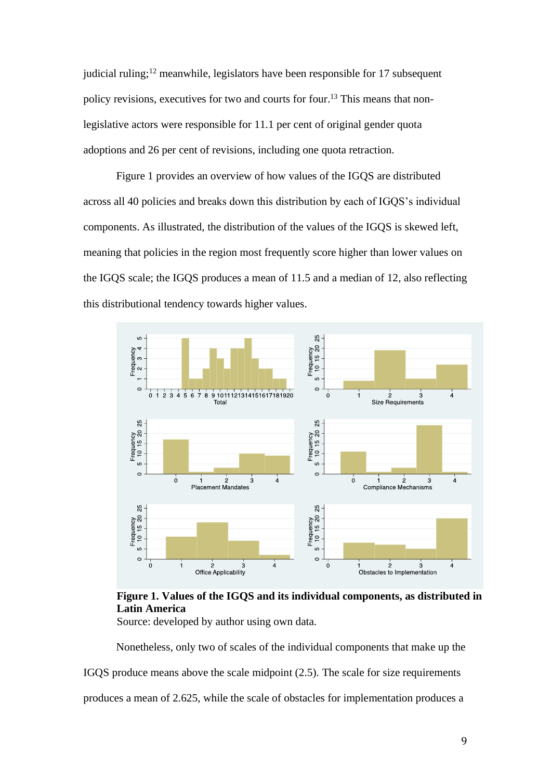judicial ruling;<sup>12</sup> meanwhile, legislators have been responsible for 17 subsequent policy revisions, executives for two and courts for four.<sup>13</sup> This means that nonlegislative actors were responsible for 11.1 per cent of original gender quota adoptions and 26 per cent of revisions, including one quota retraction.

Figure 1 provides an overview of how values of the IGQS are distributed across all 40 policies and breaks down this distribution by each of IGQS's individual components. As illustrated, the distribution of the values of the IGQS is skewed left, meaning that policies in the region most frequently score higher than lower values on the IGQS scale; the IGQS produces a mean of 11.5 and a median of 12, also reflecting this distributional tendency towards higher values.



**Figure 1. Values of the IGQS and its individual components, as distributed in Latin America**

Source: developed by author using own data.

Nonetheless, only two of scales of the individual components that make up the

IGQS produce means above the scale midpoint (2.5). The scale for size requirements

produces a mean of 2.625, while the scale of obstacles for implementation produces a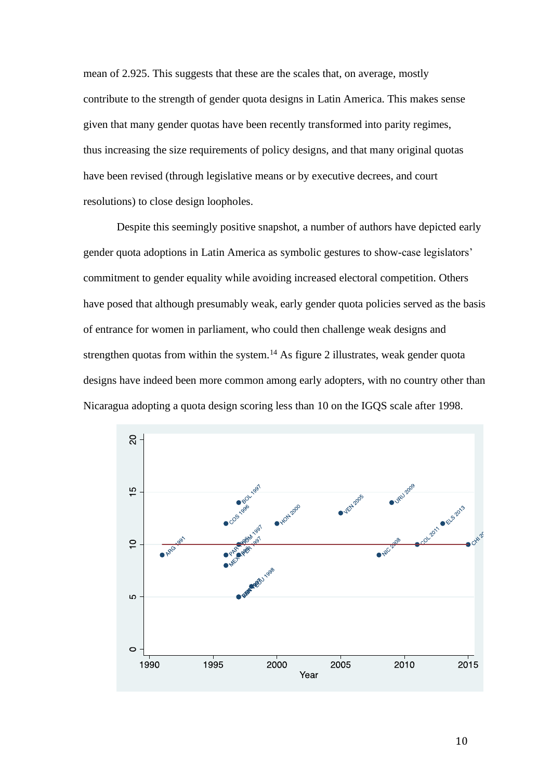mean of 2.925. This suggests that these are the scales that, on average, mostly contribute to the strength of gender quota designs in Latin America. This makes sense given that many gender quotas have been recently transformed into parity regimes, thus increasing the size requirements of policy designs, and that many original quotas have been revised (through legislative means or by executive decrees, and court resolutions) to close design loopholes.

Despite this seemingly positive snapshot, a number of authors have depicted early gender quota adoptions in Latin America as symbolic gestures to show-case legislators' commitment to gender equality while avoiding increased electoral competition. Others have posed that although presumably weak, early gender quota policies served as the basis of entrance for women in parliament, who could then challenge weak designs and strengthen quotas from within the system.<sup>14</sup> As figure 2 illustrates, weak gender quota designs have indeed been more common among early adopters, with no country other than Nicaragua adopting a quota design scoring less than 10 on the IGQS scale after 1998.

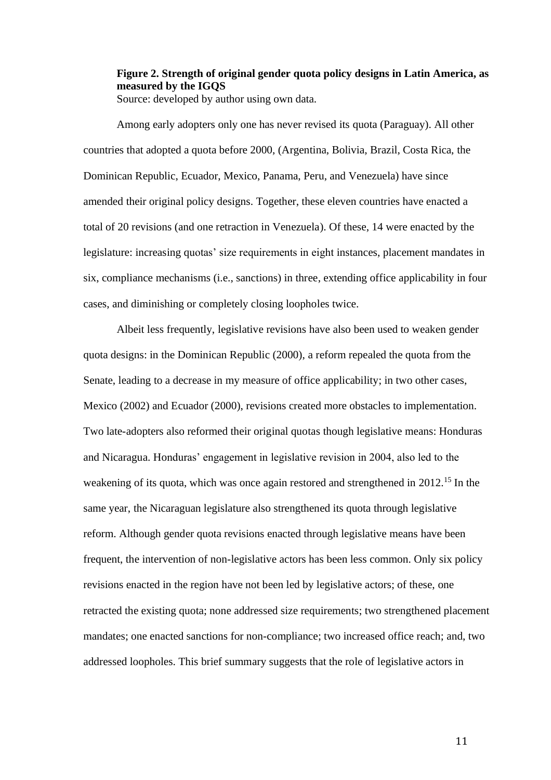# **Figure 2. Strength of original gender quota policy designs in Latin America, as measured by the IGQS**

Source: developed by author using own data.

Among early adopters only one has never revised its quota (Paraguay). All other countries that adopted a quota before 2000, (Argentina, Bolivia, Brazil, Costa Rica, the Dominican Republic, Ecuador, Mexico, Panama, Peru, and Venezuela) have since amended their original policy designs. Together, these eleven countries have enacted a total of 20 revisions (and one retraction in Venezuela). Of these, 14 were enacted by the legislature: increasing quotas' size requirements in eight instances, placement mandates in six, compliance mechanisms (i.e., sanctions) in three, extending office applicability in four cases, and diminishing or completely closing loopholes twice.

Albeit less frequently, legislative revisions have also been used to weaken gender quota designs: in the Dominican Republic (2000), a reform repealed the quota from the Senate, leading to a decrease in my measure of office applicability; in two other cases, Mexico (2002) and Ecuador (2000), revisions created more obstacles to implementation. Two late-adopters also reformed their original quotas though legislative means: Honduras and Nicaragua. Honduras' engagement in legislative revision in 2004, also led to the weakening of its quota, which was once again restored and strengthened in 2012.<sup>15</sup> In the same year, the Nicaraguan legislature also strengthened its quota through legislative reform. Although gender quota revisions enacted through legislative means have been frequent, the intervention of non-legislative actors has been less common. Only six policy revisions enacted in the region have not been led by legislative actors; of these, one retracted the existing quota; none addressed size requirements; two strengthened placement mandates; one enacted sanctions for non-compliance; two increased office reach; and, two addressed loopholes. This brief summary suggests that the role of legislative actors in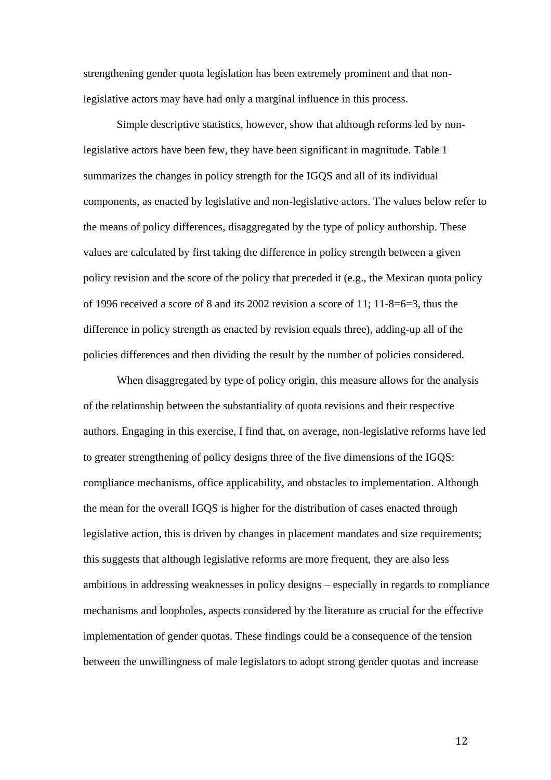strengthening gender quota legislation has been extremely prominent and that nonlegislative actors may have had only a marginal influence in this process.

Simple descriptive statistics, however, show that although reforms led by nonlegislative actors have been few, they have been significant in magnitude. Table 1 summarizes the changes in policy strength for the IGQS and all of its individual components, as enacted by legislative and non-legislative actors. The values below refer to the means of policy differences, disaggregated by the type of policy authorship. These values are calculated by first taking the difference in policy strength between a given policy revision and the score of the policy that preceded it (e.g., the Mexican quota policy of 1996 received a score of 8 and its 2002 revision a score of 11; 11-8=6=3, thus the difference in policy strength as enacted by revision equals three), adding-up all of the policies differences and then dividing the result by the number of policies considered.

When disaggregated by type of policy origin, this measure allows for the analysis of the relationship between the substantiality of quota revisions and their respective authors. Engaging in this exercise, I find that, on average, non-legislative reforms have led to greater strengthening of policy designs three of the five dimensions of the IGQS: compliance mechanisms, office applicability, and obstacles to implementation. Although the mean for the overall IGQS is higher for the distribution of cases enacted through legislative action, this is driven by changes in placement mandates and size requirements; this suggests that although legislative reforms are more frequent, they are also less ambitious in addressing weaknesses in policy designs – especially in regards to compliance mechanisms and loopholes, aspects considered by the literature as crucial for the effective implementation of gender quotas. These findings could be a consequence of the tension between the unwillingness of male legislators to adopt strong gender quotas and increase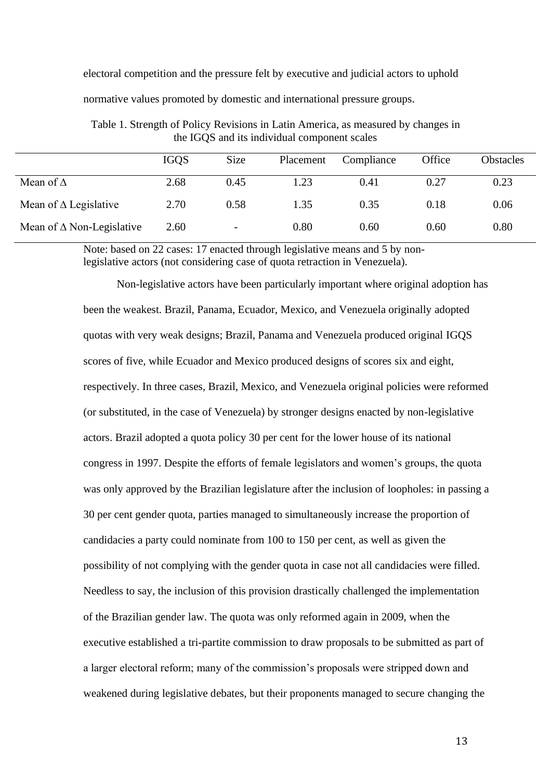electoral competition and the pressure felt by executive and judicial actors to uphold

normative values promoted by domestic and international pressure groups.

|                                     | <b>IGOS</b> | Size                     | Placement | Compliance | Office | <b>Obstacles</b> |
|-------------------------------------|-------------|--------------------------|-----------|------------|--------|------------------|
| Mean of $\Delta$                    | 2.68        | 0.45                     | 1.23      | 0.41       | 0.27   | 0.23             |
| Mean of $\Delta$ Legislative        | 2.70        | 0.58                     | 1.35      | 0.35       | 0.18   | 0.06             |
| Mean of $\triangle$ Non-Legislative | 2.60        | $\overline{\phantom{a}}$ | 0.80      | 0.60       | 0.60   | 0.80             |

Table 1. Strength of Policy Revisions in Latin America, as measured by changes in the IGQS and its individual component scales

Note: based on 22 cases: 17 enacted through legislative means and 5 by nonlegislative actors (not considering case of quota retraction in Venezuela).

Non-legislative actors have been particularly important where original adoption has been the weakest. Brazil, Panama, Ecuador, Mexico, and Venezuela originally adopted quotas with very weak designs; Brazil, Panama and Venezuela produced original IGQS scores of five, while Ecuador and Mexico produced designs of scores six and eight, respectively. In three cases, Brazil, Mexico, and Venezuela original policies were reformed (or substituted, in the case of Venezuela) by stronger designs enacted by non-legislative actors. Brazil adopted a quota policy 30 per cent for the lower house of its national congress in 1997. Despite the efforts of female legislators and women's groups, the quota was only approved by the Brazilian legislature after the inclusion of loopholes: in passing a 30 per cent gender quota, parties managed to simultaneously increase the proportion of candidacies a party could nominate from 100 to 150 per cent, as well as given the possibility of not complying with the gender quota in case not all candidacies were filled. Needless to say, the inclusion of this provision drastically challenged the implementation of the Brazilian gender law. The quota was only reformed again in 2009, when the executive established a tri-partite commission to draw proposals to be submitted as part of a larger electoral reform; many of the commission's proposals were stripped down and weakened during legislative debates, but their proponents managed to secure changing the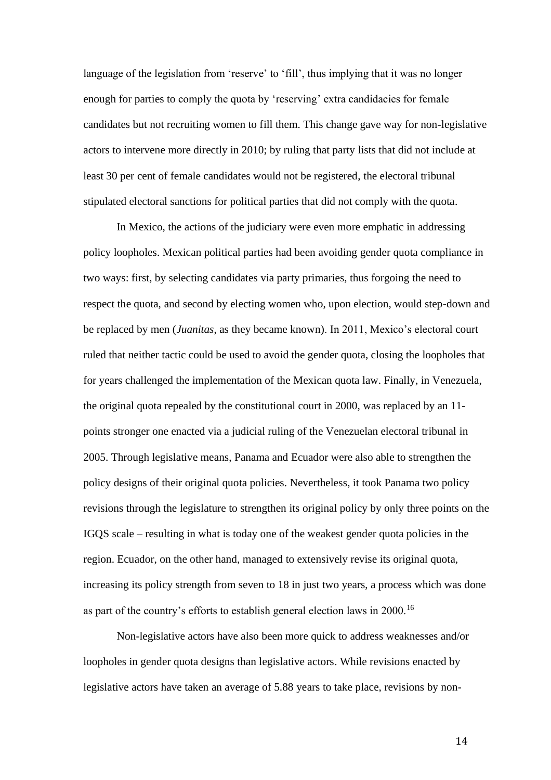language of the legislation from 'reserve' to 'fill', thus implying that it was no longer enough for parties to comply the quota by 'reserving' extra candidacies for female candidates but not recruiting women to fill them. This change gave way for non-legislative actors to intervene more directly in 2010; by ruling that party lists that did not include at least 30 per cent of female candidates would not be registered, the electoral tribunal stipulated electoral sanctions for political parties that did not comply with the quota.

In Mexico, the actions of the judiciary were even more emphatic in addressing policy loopholes. Mexican political parties had been avoiding gender quota compliance in two ways: first, by selecting candidates via party primaries, thus forgoing the need to respect the quota, and second by electing women who, upon election, would step-down and be replaced by men (*Juanitas*, as they became known). In 2011, Mexico's electoral court ruled that neither tactic could be used to avoid the gender quota, closing the loopholes that for years challenged the implementation of the Mexican quota law. Finally, in Venezuela, the original quota repealed by the constitutional court in 2000, was replaced by an 11 points stronger one enacted via a judicial ruling of the Venezuelan electoral tribunal in 2005. Through legislative means, Panama and Ecuador were also able to strengthen the policy designs of their original quota policies. Nevertheless, it took Panama two policy revisions through the legislature to strengthen its original policy by only three points on the IGQS scale – resulting in what is today one of the weakest gender quota policies in the region. Ecuador, on the other hand, managed to extensively revise its original quota, increasing its policy strength from seven to 18 in just two years, a process which was done as part of the country's efforts to establish general election laws in 2000.<sup>16</sup>

Non-legislative actors have also been more quick to address weaknesses and/or loopholes in gender quota designs than legislative actors. While revisions enacted by legislative actors have taken an average of 5.88 years to take place, revisions by non-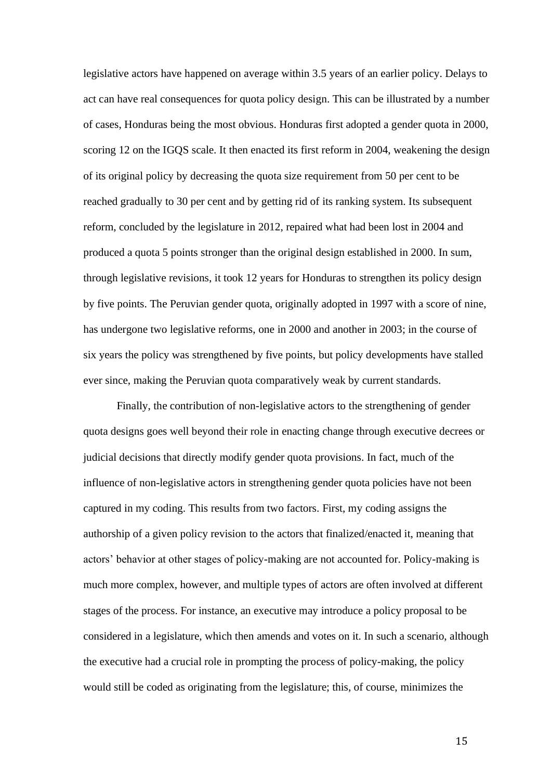legislative actors have happened on average within 3.5 years of an earlier policy. Delays to act can have real consequences for quota policy design. This can be illustrated by a number of cases, Honduras being the most obvious. Honduras first adopted a gender quota in 2000, scoring 12 on the IGQS scale. It then enacted its first reform in 2004, weakening the design of its original policy by decreasing the quota size requirement from 50 per cent to be reached gradually to 30 per cent and by getting rid of its ranking system. Its subsequent reform, concluded by the legislature in 2012, repaired what had been lost in 2004 and produced a quota 5 points stronger than the original design established in 2000. In sum, through legislative revisions, it took 12 years for Honduras to strengthen its policy design by five points. The Peruvian gender quota, originally adopted in 1997 with a score of nine, has undergone two legislative reforms, one in 2000 and another in 2003; in the course of six years the policy was strengthened by five points, but policy developments have stalled ever since, making the Peruvian quota comparatively weak by current standards.

Finally, the contribution of non-legislative actors to the strengthening of gender quota designs goes well beyond their role in enacting change through executive decrees or judicial decisions that directly modify gender quota provisions. In fact, much of the influence of non-legislative actors in strengthening gender quota policies have not been captured in my coding. This results from two factors. First, my coding assigns the authorship of a given policy revision to the actors that finalized/enacted it, meaning that actors' behavior at other stages of policy-making are not accounted for. Policy-making is much more complex, however, and multiple types of actors are often involved at different stages of the process. For instance, an executive may introduce a policy proposal to be considered in a legislature, which then amends and votes on it. In such a scenario, although the executive had a crucial role in prompting the process of policy-making, the policy would still be coded as originating from the legislature; this, of course, minimizes the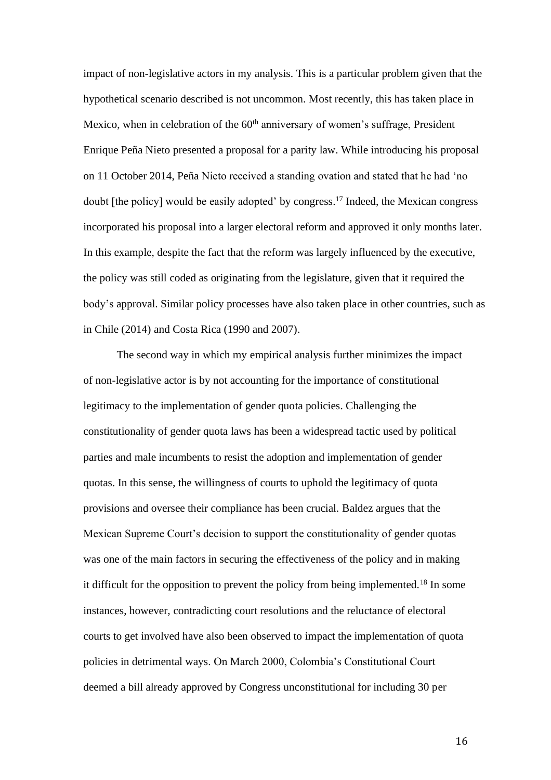impact of non-legislative actors in my analysis. This is a particular problem given that the hypothetical scenario described is not uncommon. Most recently, this has taken place in Mexico, when in celebration of the  $60<sup>th</sup>$  anniversary of women's suffrage, President Enrique Peña Nieto presented a proposal for a parity law. While introducing his proposal on 11 October 2014, Peña Nieto received a standing ovation and stated that he had 'no doubt [the policy] would be easily adopted' by congress. <sup>17</sup> Indeed, the Mexican congress incorporated his proposal into a larger electoral reform and approved it only months later. In this example, despite the fact that the reform was largely influenced by the executive, the policy was still coded as originating from the legislature, given that it required the body's approval. Similar policy processes have also taken place in other countries, such as in Chile (2014) and Costa Rica (1990 and 2007).

The second way in which my empirical analysis further minimizes the impact of non-legislative actor is by not accounting for the importance of constitutional legitimacy to the implementation of gender quota policies. Challenging the constitutionality of gender quota laws has been a widespread tactic used by political parties and male incumbents to resist the adoption and implementation of gender quotas. In this sense, the willingness of courts to uphold the legitimacy of quota provisions and oversee their compliance has been crucial. Baldez argues that the Mexican Supreme Court's decision to support the constitutionality of gender quotas was one of the main factors in securing the effectiveness of the policy and in making it difficult for the opposition to prevent the policy from being implemented.<sup>18</sup> In some instances, however, contradicting court resolutions and the reluctance of electoral courts to get involved have also been observed to impact the implementation of quota policies in detrimental ways. On March 2000, Colombia's Constitutional Court deemed a bill already approved by Congress unconstitutional for including 30 per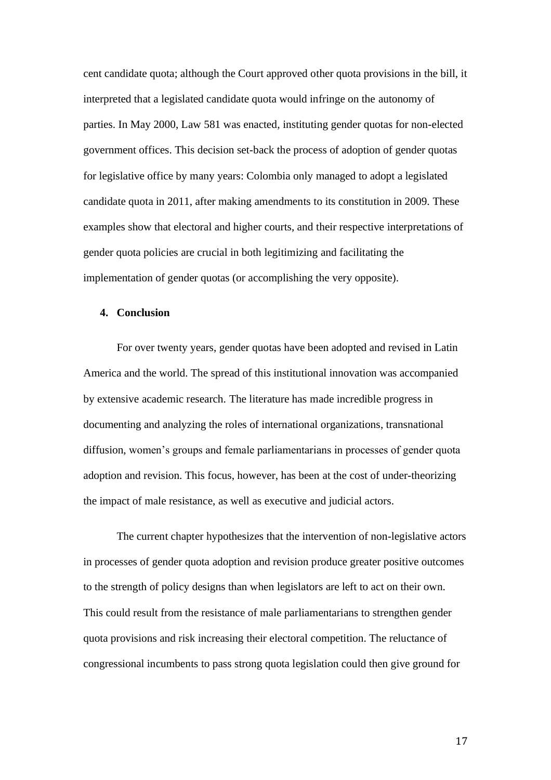cent candidate quota; although the Court approved other quota provisions in the bill, it interpreted that a legislated candidate quota would infringe on the autonomy of parties. In May 2000, Law 581 was enacted, instituting gender quotas for non-elected government offices. This decision set-back the process of adoption of gender quotas for legislative office by many years: Colombia only managed to adopt a legislated candidate quota in 2011, after making amendments to its constitution in 2009. These examples show that electoral and higher courts, and their respective interpretations of gender quota policies are crucial in both legitimizing and facilitating the implementation of gender quotas (or accomplishing the very opposite).

## **4. Conclusion**

For over twenty years, gender quotas have been adopted and revised in Latin America and the world. The spread of this institutional innovation was accompanied by extensive academic research. The literature has made incredible progress in documenting and analyzing the roles of international organizations, transnational diffusion, women's groups and female parliamentarians in processes of gender quota adoption and revision. This focus, however, has been at the cost of under-theorizing the impact of male resistance, as well as executive and judicial actors.

The current chapter hypothesizes that the intervention of non-legislative actors in processes of gender quota adoption and revision produce greater positive outcomes to the strength of policy designs than when legislators are left to act on their own. This could result from the resistance of male parliamentarians to strengthen gender quota provisions and risk increasing their electoral competition. The reluctance of congressional incumbents to pass strong quota legislation could then give ground for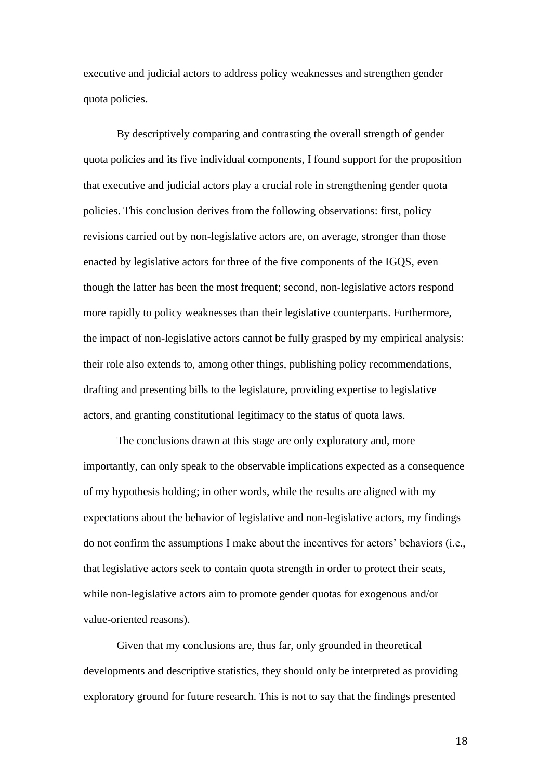executive and judicial actors to address policy weaknesses and strengthen gender quota policies.

By descriptively comparing and contrasting the overall strength of gender quota policies and its five individual components, I found support for the proposition that executive and judicial actors play a crucial role in strengthening gender quota policies. This conclusion derives from the following observations: first, policy revisions carried out by non-legislative actors are, on average, stronger than those enacted by legislative actors for three of the five components of the IGQS, even though the latter has been the most frequent; second, non-legislative actors respond more rapidly to policy weaknesses than their legislative counterparts. Furthermore, the impact of non-legislative actors cannot be fully grasped by my empirical analysis: their role also extends to, among other things, publishing policy recommendations, drafting and presenting bills to the legislature, providing expertise to legislative actors, and granting constitutional legitimacy to the status of quota laws.

The conclusions drawn at this stage are only exploratory and, more importantly, can only speak to the observable implications expected as a consequence of my hypothesis holding; in other words, while the results are aligned with my expectations about the behavior of legislative and non-legislative actors, my findings do not confirm the assumptions I make about the incentives for actors' behaviors (i.e., that legislative actors seek to contain quota strength in order to protect their seats, while non-legislative actors aim to promote gender quotas for exogenous and/or value-oriented reasons).

Given that my conclusions are, thus far, only grounded in theoretical developments and descriptive statistics, they should only be interpreted as providing exploratory ground for future research. This is not to say that the findings presented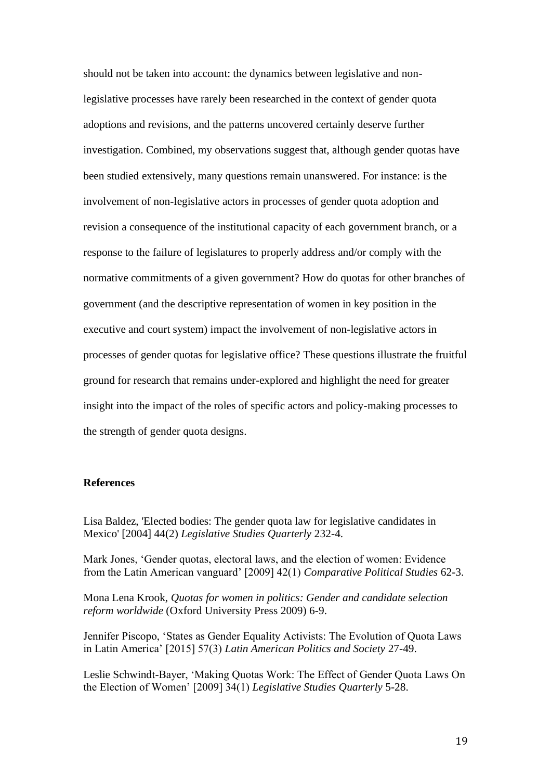should not be taken into account: the dynamics between legislative and nonlegislative processes have rarely been researched in the context of gender quota adoptions and revisions, and the patterns uncovered certainly deserve further investigation. Combined, my observations suggest that, although gender quotas have been studied extensively, many questions remain unanswered. For instance: is the involvement of non-legislative actors in processes of gender quota adoption and revision a consequence of the institutional capacity of each government branch, or a response to the failure of legislatures to properly address and/or comply with the normative commitments of a given government? How do quotas for other branches of government (and the descriptive representation of women in key position in the executive and court system) impact the involvement of non-legislative actors in processes of gender quotas for legislative office? These questions illustrate the fruitful ground for research that remains under-explored and highlight the need for greater insight into the impact of the roles of specific actors and policy-making processes to the strength of gender quota designs.

# **References**

Lisa Baldez, 'Elected bodies: The gender quota law for legislative candidates in Mexico' [2004] 44(2) *Legislative Studies Quarterly* 232-4.

Mark Jones, 'Gender quotas, electoral laws, and the election of women: Evidence from the Latin American vanguard' [2009] 42(1) *Comparative Political Studies* 62-3.

Mona Lena Krook, *Quotas for women in politics: Gender and candidate selection reform worldwide* (Oxford University Press 2009) 6-9.

Jennifer Piscopo, 'States as Gender Equality Activists: The Evolution of Quota Laws in Latin America' [2015] 57(3) *Latin American Politics and Society* 27-49.

Leslie Schwindt-Bayer, 'Making Quotas Work: The Effect of Gender Quota Laws On the Election of Women' [2009] 34(1) *Legislative Studies Quarterly* 5-28.